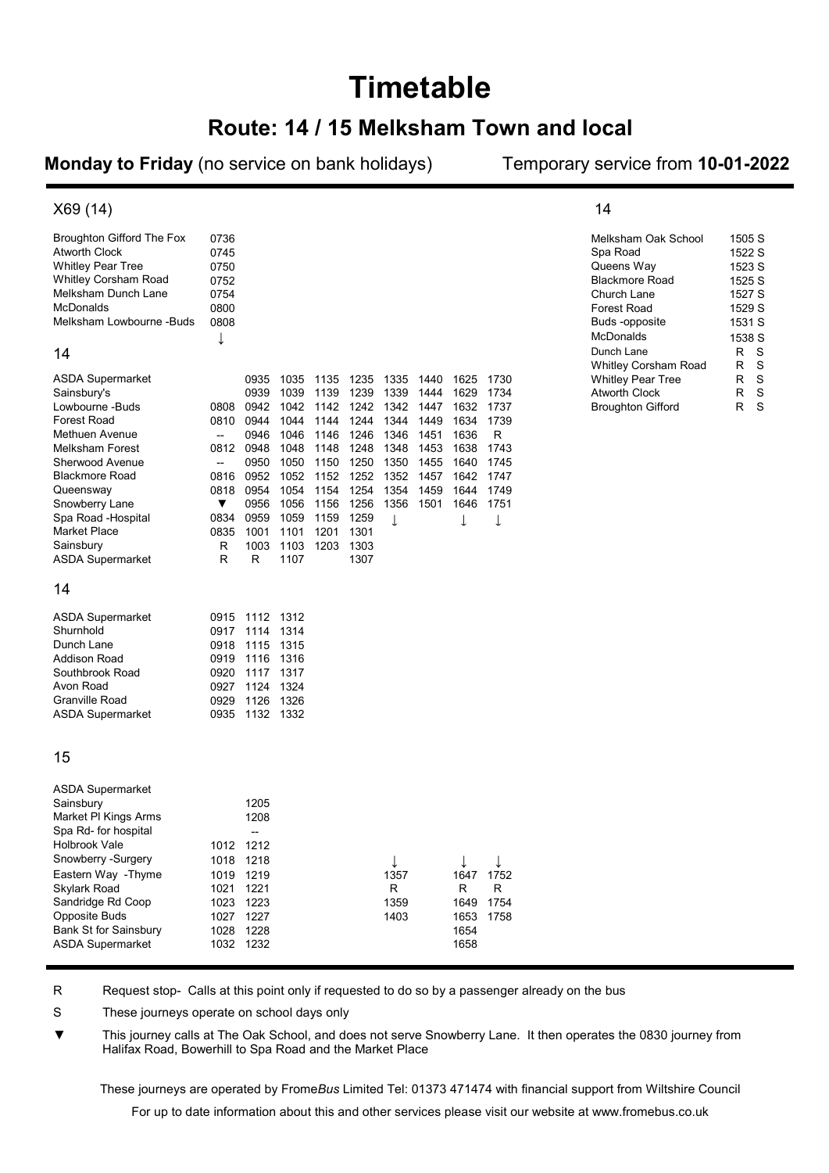# **Timetable**

### Route: 14 / 15 Melksham Town and local

Monday to Friday (no service on bank holidays) Temporary service from 10-01-2022

14

#### X69 (14)

| Broughton Gifford The Fox | 0736 |                          |      |      |      |      |      |      |      | Melksham Oak School                       | 1505 S           |
|---------------------------|------|--------------------------|------|------|------|------|------|------|------|-------------------------------------------|------------------|
| Atworth Clock             | 0745 |                          |      |      |      |      |      |      |      | Spa Road                                  | 1522 S           |
| Whitley Pear Tree         | 0750 |                          |      |      |      |      |      |      |      | Queens Way                                | 1523 S           |
| Whitley Corsham Road      | 0752 |                          |      |      |      |      |      |      |      | Blackmore Road                            | 1525 S           |
| Melksham Dunch Lane       | 0754 |                          |      |      |      |      |      |      |      | Church Lane                               | 1527 S           |
| McDonalds                 | 0800 |                          |      |      |      |      |      |      |      | <b>Forest Road</b>                        | 1529 S           |
| Melksham Lowbourne -Buds  | 0808 |                          |      |      |      |      |      |      |      | Buds -opposite                            | 1531 S           |
|                           | ↓    |                          |      |      |      |      |      |      |      | McDonalds                                 | 1538 S           |
| 14                        |      |                          |      |      |      |      |      |      |      | Dunch Lane<br><b>Whitley Corsham Road</b> | R<br>S<br>R<br>S |
| ASDA Supermarket          |      | 0935                     | 1035 | 1135 | 1235 | 1335 | 1440 | 1625 | 1730 | <b>Whitley Pear Tree</b>                  | R<br>S           |
| Sainsbury's               |      | 0939                     | 1039 | 1139 | 1239 | 1339 | 1444 | 1629 | 1734 | Atworth Clock                             | S<br>R           |
| Lowbourne -Buds           | 0808 | 0942                     | 1042 | 1142 | 1242 | 1342 | 1447 | 1632 | 1737 | <b>Broughton Gifford</b>                  | S<br>R           |
| Forest Road               | 0810 | 0944                     | 1044 | 1144 | 1244 | 1344 | 1449 | 1634 | 1739 |                                           |                  |
| Methuen Avenue            | --   | 0946                     | 1046 | 1146 | 1246 | 1346 | 1451 | 1636 | R    |                                           |                  |
| Melksham Forest           | 0812 | 0948                     | 1048 | 1148 | 1248 | 1348 | 1453 | 1638 | 1743 |                                           |                  |
| Sherwood Avenue           | --   | 0950                     | 1050 | 1150 | 1250 | 1350 | 1455 | 1640 | 1745 |                                           |                  |
| Blackmore Road            | 0816 | 0952                     | 1052 | 1152 | 1252 | 1352 | 1457 | 1642 | 1747 |                                           |                  |
| Queensway                 | 0818 | 0954                     | 1054 | 1154 | 1254 | 1354 | 1459 | 1644 | 1749 |                                           |                  |
| Snowberry Lane            | ▼    | 0956                     | 1056 | 1156 | 1256 | 1356 | 1501 | 1646 | 1751 |                                           |                  |
| Spa Road -Hospital        | 0834 | 0959                     | 1059 | 1159 | 1259 | T    |      |      | T    |                                           |                  |
| Market Place              | 0835 | 1001                     | 1101 | 1201 | 1301 |      |      | T    |      |                                           |                  |
| Sainsbury                 | R    | 1003                     | 1103 | 1203 | 1303 |      |      |      |      |                                           |                  |
| ASDA Supermarket          | R    | R                        | 1107 |      | 1307 |      |      |      |      |                                           |                  |
| 14                        |      |                          |      |      |      |      |      |      |      |                                           |                  |
|                           |      |                          |      |      |      |      |      |      |      |                                           |                  |
| ASDA Supermarket          | 0915 | 1112 1312                |      |      |      |      |      |      |      |                                           |                  |
| Shurnhold                 | 0917 | 1114                     | 1314 |      |      |      |      |      |      |                                           |                  |
| Dunch Lane                | 0918 | 1115                     | 1315 |      |      |      |      |      |      |                                           |                  |
| Addison Road              | 0919 | 1116                     | 1316 |      |      |      |      |      |      |                                           |                  |
| Southbrook Road           | 0920 | 1117                     | 1317 |      |      |      |      |      |      |                                           |                  |
| Avon Road                 | 0927 | 1124                     | 1324 |      |      |      |      |      |      |                                           |                  |
| Granville Road            | 0929 | 1126                     | 1326 |      |      |      |      |      |      |                                           |                  |
| <b>ASDA Supermarket</b>   | 0935 | 1132 1332                |      |      |      |      |      |      |      |                                           |                  |
| 15                        |      |                          |      |      |      |      |      |      |      |                                           |                  |
| <b>ASDA Supermarket</b>   |      |                          |      |      |      |      |      |      |      |                                           |                  |
| Sainsbury                 |      | 1205                     |      |      |      |      |      |      |      |                                           |                  |
| Market PI Kings Arms      |      | 1208                     |      |      |      |      |      |      |      |                                           |                  |
| Spa Rd- for hospital      |      | $\overline{\phantom{a}}$ |      |      |      |      |      |      |      |                                           |                  |
| Holbrook Vale             | 1012 | 1212                     |      |      |      |      |      |      |      |                                           |                  |
| Snowberry -Surgery        |      | 1018 1218                |      |      |      | ↓    |      | ↓    | ↓    |                                           |                  |
| Eastern Way - Thyme       | 1019 | 1219                     |      |      |      | 1357 |      | 1647 | 1752 |                                           |                  |
| Skylark Road              | 1021 | 1221                     |      |      |      | R    |      | R    | R    |                                           |                  |
| Sandridge Rd Coop         |      | 1023 1223                |      |      |      | 1359 |      | 1649 | 1754 |                                           |                  |
| Opposite Buds             | 1027 | 1227                     |      |      |      | 1403 |      | 1653 | 1758 |                                           |                  |
| Bank St for Sainsbury     | 1028 | 1228                     |      |      |      |      |      | 1654 |      |                                           |                  |
| <b>ASDA Supermarket</b>   |      | 1032 1232                |      |      |      |      |      | 1658 |      |                                           |                  |
|                           |      |                          |      |      |      |      |      |      |      |                                           |                  |

R Request stop- Calls at this point only if requested to do so by a passenger already on the bus

S These journeys operate on school days only

▼ This journey calls at The Oak School, and does not serve Snowberry Lane. It then operates the 0830 journey from Halifax Road, Bowerhill to Spa Road and the Market Place

These journeys are operated by FromeBus Limited Tel: 01373 471474 with financial support from Wiltshire Council

For up to date information about this and other services please visit our website at www.fromebus.co.uk